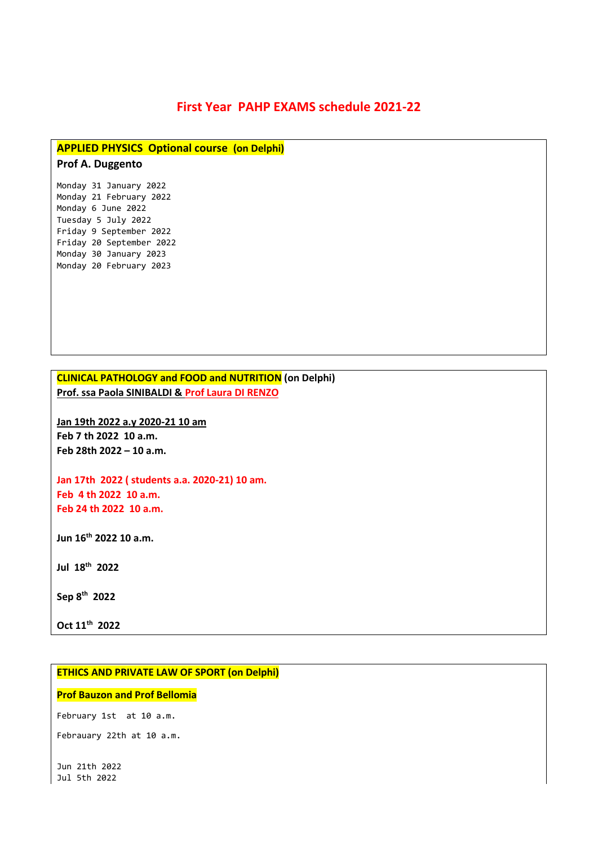# **First Year PAHP EXAMS schedule 2021-22**

### **APPLIED PHYSICS Optional course (on Delphi)**

## **Prof A. Duggento**

Monday 31 January 2022 Monday 21 February 2022 Monday 6 June 2022 Tuesday 5 July 2022 Friday 9 September 2022 Friday 20 September 2022 Monday 30 January 2023 Monday 20 February 2023

**CLINICAL PATHOLOGY and FOOD and NUTRITION (on Delphi) Prof. ssa Paola SINIBALDI & Prof Laura DI RENZO**

**Jan 19th 2022 a.y 2020-21 10 am Feb 7 th 2022 10 a.m. Feb 28th 2022 – 10 a.m.**

**Jan 17th 2022 ( students a.a. 2020-21) 10 am. Feb 4 th 2022 10 a.m. Feb 24 th 2022 10 a.m.**

**Jun 16th 2022 10 a.m.**

**Jul 18th 2022**

**Sep 8 th 2022**

**Oct 11th 2022**

### **ETHICS AND PRIVATE LAW OF SPORT (on Delphi)**

#### **Prof Bauzon and Prof Bellomia**

February 1st at 10 a.m.

Febrauary 22th at 10 a.m.

Jun 21th 2022 Jul 5th 2022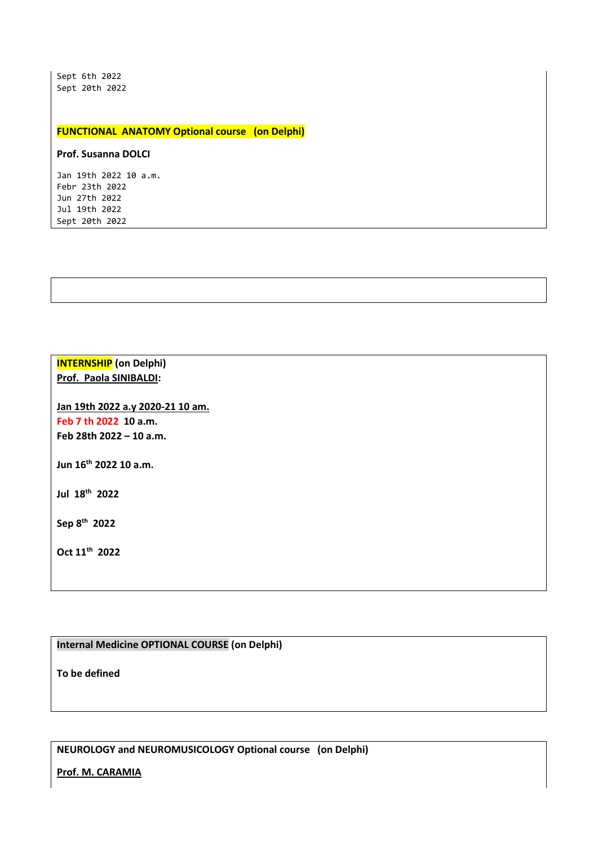Sept 6th 2022 Sept 20th 2022

#### **FUNCTIONAL ANATOMY Optional course (on Delphi)**

#### **Prof. Susanna DOLCI**

Jan 19th 2022 10 a.m. Febr 23th 2022 Jun 27th 2022 Jul 19th 2022 Sept 20th 2022

## **INTERNSHIP (on Delphi) Prof. Paola SINIBALDI:**

**Jan 19th 2022 a.y 2020-21 10 am. Feb 7 th 2022 10 a.m. Feb 28th 2022 – 10 a.m.**

**Jun 16th 2022 10 a.m.** 

**Jul 18th 2022**

**Sep 8 th 2022**

**Oct 11th 2022**

## **Internal Medicine OPTIONAL COURSE (on Delphi)**

**To be defined**

**NEUROLOGY and NEUROMUSICOLOGY Optional course (on Delphi)**

**Prof. M. CARAMIA**